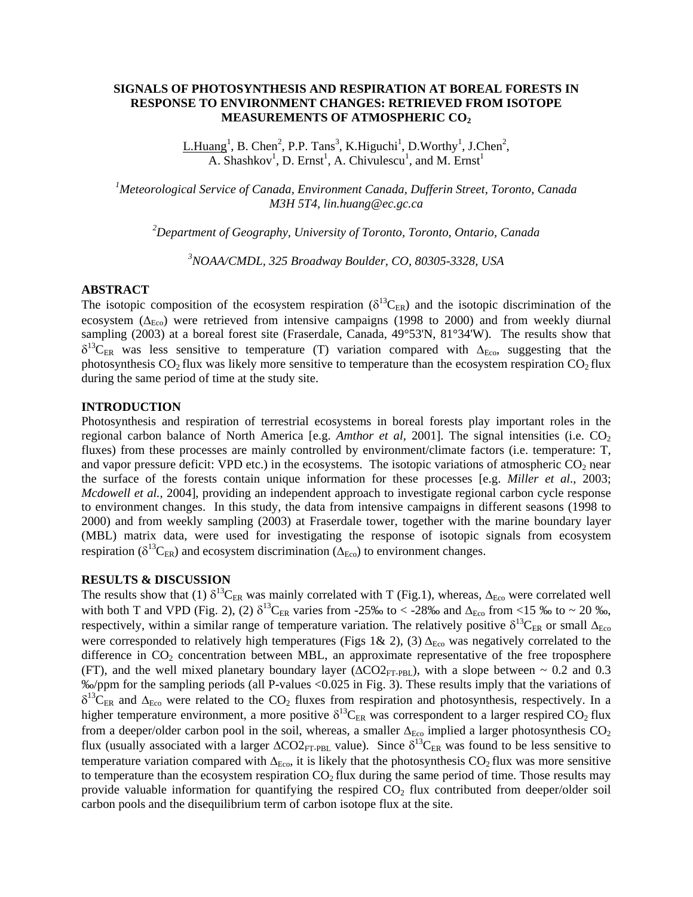## **SIGNALS OF PHOTOSYNTHESIS AND RESPIRATION AT BOREAL FORESTS IN RESPONSE TO ENVIRONMENT CHANGES: RETRIEVED FROM ISOTOPE MEASUREMENTS OF ATMOSPHERIC CO2**

L.Huang<sup>1</sup>, B. Chen<sup>2</sup>, P.P. Tans<sup>3</sup>, K.Higuchi<sup>1</sup>, D.Worthy<sup>1</sup>, J.Chen<sup>2</sup>, A. Shashkov<sup>1</sup>, D. Ernst<sup>1</sup>, A. Chivulescu<sup>1</sup>, and M. Ernst<sup>1</sup>

*1 Meteorological Service of Canada, Environment Canada, Dufferin Street, Toronto, Canada M3H 5T4, [lin.huang@ec.gc.ca](mailto:lin.huang@ec.gc.ca)*

*2 Department of Geography, University of Toronto, Toronto, Ontario, Canada* 

*3 NOAA/CMDL, 325 Broadway Boulder, CO, 80305-3328, USA* 

### **ABSTRACT**

The isotopic composition of the ecosystem respiration ( $\delta^{13}C_{ER}$ ) and the isotopic discrimination of the ecosystem ( $\Delta_{Eco}$ ) were retrieved from intensive campaigns (1998 to 2000) and from weekly diurnal sampling (2003) at a boreal forest site (Fraserdale, Canada, 49°53'N, 81°34'W). The results show that  $\delta^{13}C_{ER}$  was less sensitive to temperature (T) variation compared with  $\Delta_{Eco}$ , suggesting that the photosynthesis  $CO<sub>2</sub>$  flux was likely more sensitive to temperature than the ecosystem respiration  $CO<sub>2</sub>$  flux during the same period of time at the study site.

#### **INTRODUCTION**

Photosynthesis and respiration of terrestrial ecosystems in boreal forests play important roles in the regional carbon balance of North America [e.g. *Amthor et al*, 2001]. The signal intensities (i.e.  $CO<sub>2</sub>$ fluxes) from these processes are mainly controlled by environment/climate factors (i.e. temperature: T, and vapor pressure deficit: VPD etc.) in the ecosystems. The isotopic variations of atmospheric  $CO<sub>2</sub>$  near the surface of the forests contain unique information for these processes [e.g. *Miller et al*., 2003; *Mcdowell et al.,* 2004], providing an independent approach to investigate regional carbon cycle response to environment changes. In this study, the data from intensive campaigns in different seasons (1998 to 2000) and from weekly sampling (2003) at Fraserdale tower, together with the marine boundary layer (MBL) matrix data, were used for investigating the response of isotopic signals from ecosystem respiration ( $\delta^{13}C_{ER}$ ) and ecosystem discrimination ( $\Delta_{Eco}$ ) to environment changes.

# **RESULTS & DISCUSSION**

The results show that (1)  $\delta^{13}C_{ER}$  was mainly correlated with T (Fig.1), whereas,  $\Delta_{Eco}$  were correlated well with both T and VPD (Fig. 2), (2)  $\delta^{13}C_{ER}$  varies from -25‰ to < -28‰ and  $\Delta_{Eco}$  from <15 ‰ to ~ 20 ‰, respectively, within a similar range of temperature variation. The relatively positive  $\delta^{13}C_{ER}$  or small  $\Delta_{Eco}$ were corresponded to relatively high temperatures (Figs 1& 2), (3)  $\Delta_{Eco}$  was negatively correlated to the difference in  $CO<sub>2</sub>$  concentration between MBL, an approximate representative of the free troposphere (FT), and the well mixed planetary boundary layer ( $\Delta CO2_{FT-PBL}$ ), with a slope between ~ 0.2 and 0.3 ‰/ppm for the sampling periods (all P-values <0.025 in Fig. 3). These results imply that the variations of  $\delta^{13}$ C<sub>ER</sub> and  $\Delta_{\text{Eco}}$  were related to the CO<sub>2</sub> fluxes from respiration and photosynthesis, respectively. In a higher temperature environment, a more positive  $\delta^{13}C_{ER}$  was correspondent to a larger respired CO<sub>2</sub> flux from a deeper/older carbon pool in the soil, whereas, a smaller  $\Delta_{Eco}$  implied a larger photosynthesis CO<sub>2</sub> flux (usually associated with a larger  $\Delta CO2_{\text{FT-PBL}}$  value). Since  $\delta^{13}C_{\text{ER}}$  was found to be less sensitive to temperature variation compared with  $\Delta_{Eco}$ , it is likely that the photosynthesis CO<sub>2</sub> flux was more sensitive to temperature than the ecosystem respiration  $CO<sub>2</sub>$  flux during the same period of time. Those results may provide valuable information for quantifying the respired  $CO<sub>2</sub>$  flux contributed from deeper/older soil carbon pools and the disequilibrium term of carbon isotope flux at the site.